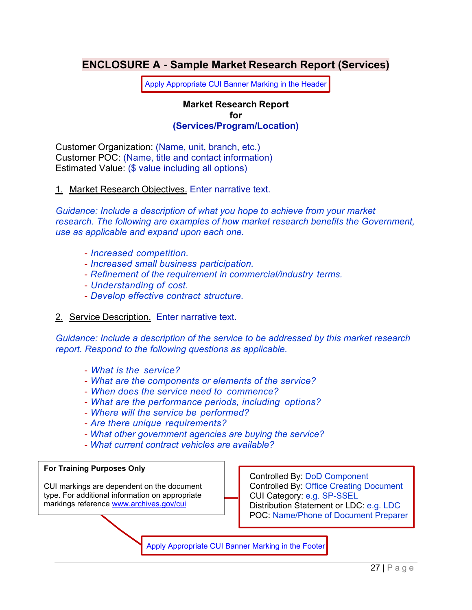# **ENCLOSURE A - Sample Market Research Report (Services)**

Apply Appropriate CUI Banner Marking in the Header

#### **Market Research Report for (Services/Program/Location)**

Customer Organization: (Name, unit, branch, etc.) Customer POC: (Name, title and contact information) Estimated Value: (\$ value including all options)

1. Market Research Objectives. Enter narrative text.

*Guidance: Include a description of what you hope to achieve from your market research. The following are examples of how market research benefits the Government, use as applicable and expand upon each one.* 

- *Increased competition.*
- *Increased small business participation.*
- *Refinement of the requirement in commercial/industry terms.*
- *Understanding of cost.*
- *Develop effective contract structure.*
- 2. Service Description. Enter narrative text.

*Guidance: Include a description of the service to be addressed by this market research report. Respond to the following questions as applicable.* 

- *What is the service?*
- *What are the components or elements of the service?*
- *When does the service need to commence?*
- *What are the performance periods, including options?*
- *Where will the service be performed?*
- *Are there unique requirements?*
- *What other government agencies are buying the service?*
- *What current contract vehicles are available?*

#### **For Training Purposes Only**

CUI markings are dependent on the document type. For additional information on appropriate markings reference www.archives.gov/cui

Controlled By: DoD Component Controlled By: Office Creating Document CUI Category: e.g. SP-SSEL Distribution Statement or LDC: e.g. LDC POC: Name/Phone of Document Preparer

Apply Appropriate CUI Banner Marking in the Footer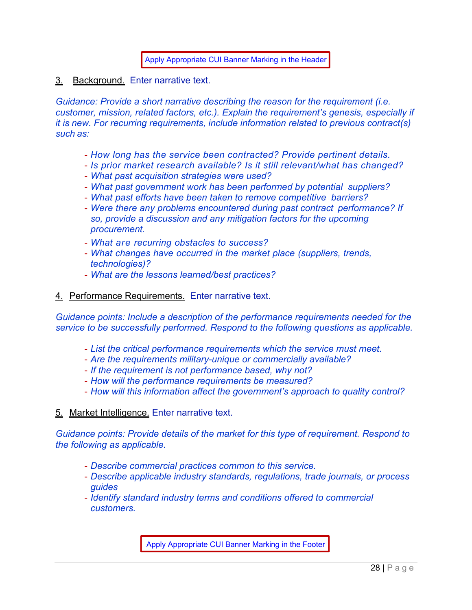Apply Appropriate CUI Banner Marking in the Header

3. Background. Enter narrative text.

*Guidance: Provide a short narrative describing the reason for the requirement (i.e. customer, mission, related factors, etc.). Explain the requirement's genesis, especially if it is new. For recurring requirements, include information related to previous contract(s) such as:* 

- *How long has the service been contracted? Provide pertinent details.*
- *Is prior market research available? Is it still relevant/what has changed?*
- *What past acquisition strategies were used?*
- *What past government work has been performed by potential suppliers?*
- *What past efforts have been taken to remove competitive barriers?*
- *Were there any problems encountered during past contract performance? If so, provide a discussion and any mitigation factors for the upcoming procurement.*
- *What are recurring obstacles to success?*
- *What changes have occurred in the market place (suppliers, trends, technologies)?*
- *What are the lessons learned/best practices?*
- 4. Performance Requirements. Enter narrative text.

*Guidance points: Include a description of the performance requirements needed for the service to be successfully performed. Respond to the following questions as applicable.* 

- *List the critical performance requirements which the service must meet.*
- *Are the requirements military-unique or commercially available?*
- *If the requirement is not performance based, why not?*
- *How will the performance requirements be measured?*
- *How will this information affect the government's approach to quality control?*

#### 5. Market Intelligence. Enter narrative text.

*Guidance points: Provide details of the market for this type of requirement. Respond to the following as applicable.* 

- *Describe commercial practices common to this service.*
- *Describe applicable industry standards, regulations, trade journals, or process guides*
- *Identify standard industry terms and conditions offered to commercial customers.*

Apply Appropriate CUI Banner Marking in the Footer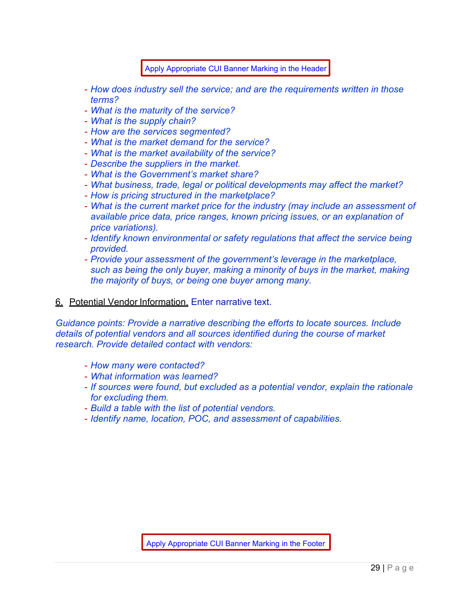Apply Appropriate CUI Banner Marking in the Header

- *How does industry sell the service; and are the requirements written in those terms?*
- *What is the maturity of the service?*
- *What is the supply chain?*
- *How are the services segmented?*
- *What is the market demand for the service?*
- *What is the market availability of the service?*
- *Describe the suppliers in the market.*
- *What is the Government's market share?*
- *What business, trade, legal or political developments may affect the market?*
- *How is pricing structured in the marketplace?*
- *What is the current market price for the industry (may include an assessment of available price data, price ranges, known pricing issues, or an explanation of price variations).*
- *Identify known environmental or safety regulations that affect the service being provided.*
- *Provide your assessment of the government's leverage in the marketplace, such as being the only buyer, making a minority of buys in the market, making the majority of buys, or being one buyer among many.*

### 6. Potential Vendor Information. Enter narrative text.

*Guidance points: Provide a narrative describing the efforts to locate sources. Include details of potential vendors and all sources identified during the course of market research. Provide detailed contact with vendors:* 

- *How many were contacted?*
- *What information was learned?*
- *If sources were found, but excluded as a potential vendor, explain the rationale for excluding them.*
- *Build a table with the list of potential vendors.*
- *Identify name, location, POC, and assessment of capabilities.*